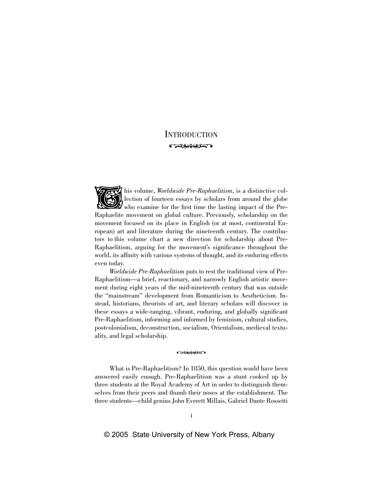# **INTRODUCTION CARACTER**

his volume, *Worldwide Pre-Raphaelitism*, is a distinctive collection of fourteen essays by scholars from around the globe  $\mathbf{\mathcal{L}}$  who examine for the first time the lasting impact of the Pre-Raphaelite movement on global culture. Previously, scholarship on the movement focused on its place in English (or at most, continental European) art and literature during the nineteenth century. The contributors to this volume chart a new direction for scholarship about Pre-Raphaelitism, arguing for the movement's significance throughout the world, its affinity with various systems of thought, and its enduring effects even today. TS

*Worldwide Pre-Raphaelitism* puts to rest the traditional view of Pre-Raphaelitism—a brief, reactionary, and narrowly English artistic movement during eight years of the mid-nineteenth century that was outside the "mainstream" development from Romanticism to Aestheticism. Instead, historians, theorists of art, and literary scholars will discover in these essays a wide-ranging, vibrant, enduring, and globally significant Pre-Raphaelitism, informing and informed by feminism, cultural studies, postcolonialism, deconstruction, socialism, Orientalism, medieval textuality, and legal scholarship.

#### **CALINATION**

What is Pre-Raphaelitism? In 1850, this question would have been answered easily enough. Pre-Raphaelitism was a stunt cooked up by three students at the Royal Academy of Art in order to distinguish themselves from their peers and thumb their noses at the establishment. The three students—child genius John Everett Millais, Gabriel Dante Rossetti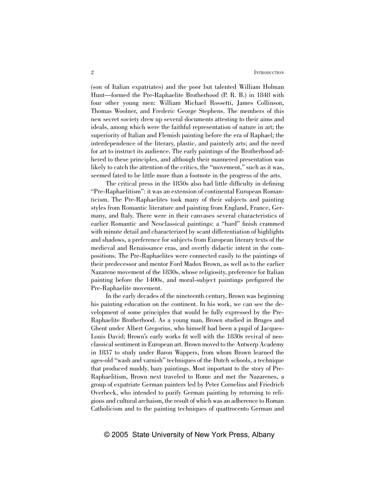(son of Italian expatriates) and the poor but talented William Holman Hunt—formed the Pre-Raphaelite Brotherhood (P. R. B.) in 1848 with four other young men: William Michael Rossetti, James Collinson, Thomas Woolner, and Frederic George Stephens. The members of this new secret society drew up several documents attesting to their aims and ideals, among which were the faithful representation of nature in art; the superiority of Italian and Flemish painting before the era of Raphael; the interdependence of the literary, plastic, and painterly arts; and the need for art to instruct its audience. The early paintings of the Brotherhood adhered to these principles, and although their mannered presentation was likely to catch the attention of the critics, the "movement," such as it was, seemed fated to be little more than a footnote in the progress of the arts.

The critical press in the 1850s also had little difficulty in defining "Pre-Raphaelitism": it was an extension of continental European Romanticism. The Pre-Raphaelites took many of their subjects and painting styles from Romantic literature and painting from England, France, Germany, and Italy. There were in their canvases several characteristics of earlier Romantic and Neoclassical paintings: a "hard" finish crammed with minute detail and characterized by scant differentiation of highlights and shadows, a preference for subjects from European literary texts of the medieval and Renaissance eras, and overtly didactic intent in the compositions. The Pre-Raphaelites were connected easily to the paintings of their predecessor and mentor Ford Madox Brown, as well as to the earlier Nazarene movement of the 1830s, whose religiosity, preference for Italian painting before the 1400s, and moral-subject paintings prefigured the Pre-Raphaelite movement.

In the early decades of the nineteenth century, Brown was beginning his painting education on the continent. In his work, we can see the development of some principles that would be fully expressed by the Pre-Raphaelite Brotherhood. As a young man, Brown studied in Bruges and Ghent under Albert Gregorius, who himself had been a pupil of Jacques-Louis David; Brown's early works fit well with the 1830s revival of neoclassical sentiment in European art. Brown moved to the Antwerp Academy in 1837 to study under Baron Wappers, from whom Brown learned the ages-old "wash and varnish" techniques of the Dutch schools, a technique that produced muddy, hazy paintings. Most important to the story of Pre-Raphaelitism, Brown next traveled to Rome and met the Nazarenes, a group of expatriate German painters led by Peter Cornelius and Friedrich Overbeck, who intended to purify German painting by returning to religious and cultural archaism, the result of which was an adherence to Roman Catholicism and to the painting techniques of quattrocento German and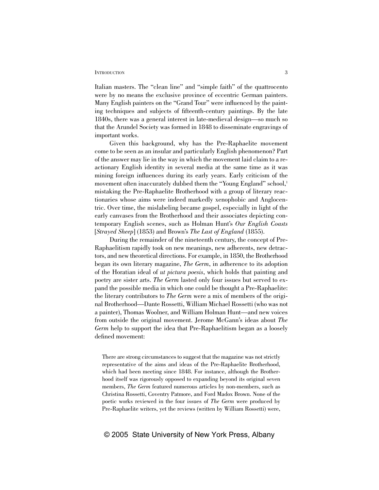Italian masters. The "clean line" and "simple faith" of the quattrocento were by no means the exclusive province of eccentric German painters. Many English painters on the "Grand Tour" were influenced by the painting techniques and subjects of fifteenth-century paintings. By the late 1840s, there was a general interest in late-medieval design—so much so that the Arundel Society was formed in 1848 to disseminate engravings of important works.

Given this background, why has the Pre-Raphaelite movement come to be seen as an insular and particularly English phenomenon? Part of the answer may lie in the way in which the movement laid claim to a reactionary English identity in several media at the same time as it was mining foreign influences during its early years. Early criticism of the movement often inaccurately dubbed them the "Young England" school,<sup>1</sup> mistaking the Pre-Raphaelite Brotherhood with a group of literary reactionaries whose aims were indeed markedly xenophobic and Anglocentric. Over time, the mislabeling became gospel, especially in light of the early canvases from the Brotherhood and their associates depicting contemporary English scenes, such as Holman Hunt's *Our English Coasts* [*Strayed Sheep*] (1853) and Brown's *The Last of England* (1855).

During the remainder of the nineteenth century, the concept of Pre-Raphaelitism rapidly took on new meanings, new adherents, new detractors, and new theoretical directions. For example, in 1850, the Brotherhood began its own literary magazine, *The Germ*, in adherence to its adoption of the Horatian ideal of *ut pictura poesis*, which holds that painting and poetry are sister arts. *The Germ* lasted only four issues but served to expand the possible media in which one could be thought a Pre-Raphaelite: the literary contributors to *The Germ* were a mix of members of the original Brotherhood—Dante Rossetti, William Michael Rossetti (who was not a painter), Thomas Woolner, and William Holman Hunt—and new voices from outside the original movement. Jerome McGann's ideas about *The Germ* help to support the idea that Pre-Raphaelitism began as a loosely defined movement:

There are strong circumstances to suggest that the magazine was not strictly representative of the aims and ideas of the Pre-Raphaelite Brotherhood, which had been meeting since 1848. For instance, although the Brotherhood itself was rigorously opposed to expanding beyond its original seven members, *The Germ* featured numerous articles by non-members, such as Christina Rossetti, Coventry Patmore, and Ford Madox Brown. None of the poetic works reviewed in the four issues of *The Germ* were produced by Pre-Raphaelite writers, yet the reviews (written by William Rossetti) were,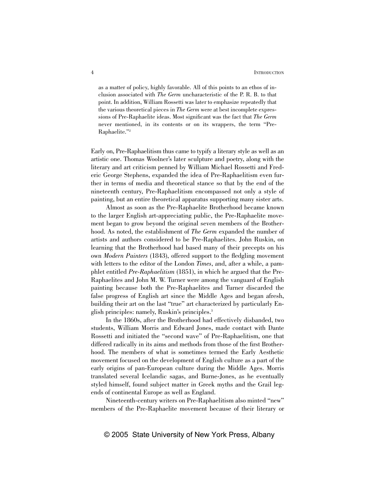as a matter of policy, highly favorable. All of this points to an ethos of inclusion associated with *The Germ* uncharacteristic of the P. R. B. to that point. In addition, William Rossetti was later to emphasize repeatedly that the various theoretical pieces in *The Germ* were at best incomplete expressions of Pre-Raphaelite ideas. Most significant was the fact that *The Germ* never mentioned, in its contents or on its wrappers, the term "Pre-Raphaelite."2

Early on, Pre-Raphaelitism thus came to typify a literary style as well as an artistic one. Thomas Woolner's later sculpture and poetry, along with the literary and art criticism penned by William Michael Rossetti and Frederic George Stephens, expanded the idea of Pre-Raphaelitism even further in terms of media and theoretical stance so that by the end of the nineteenth century, Pre-Raphaelitism encompassed not only a style of painting, but an entire theoretical apparatus supporting many sister arts.

Almost as soon as the Pre-Raphaelite Brotherhood became known to the larger English art-appreciating public, the Pre-Raphaelite movement began to grow beyond the original seven members of the Brotherhood. As noted, the establishment of *The Germ* expanded the number of artists and authors considered to be Pre-Raphaelites. John Ruskin, on learning that the Brotherhood had based many of their precepts on his own *Modern Painters* (1843), offered support to the fledgling movement with letters to the editor of the London *Times*, and, after a while, a pamphlet entitled *Pre-Raphaelitism* (1851), in which he argued that the Pre-Raphaelites and John M. W. Turner were among the vanguard of English painting because both the Pre-Raphaelites and Turner discarded the false progress of English art since the Middle Ages and began afresh, building their art on the last "true" art characterized by particularly English principles: namely, Ruskin's principles.3

In the 1860s, after the Brotherhood had effectively disbanded, two students, William Morris and Edward Jones, made contact with Dante Rossetti and initiated the "second wave" of Pre-Raphaelitism, one that differed radically in its aims and methods from those of the first Brotherhood. The members of what is sometimes termed the Early Aesthetic movement focused on the development of English culture as a part of the early origins of pan-European culture during the Middle Ages. Morris translated several Icelandic sagas, and Burne-Jones, as he eventually styled himself, found subject matter in Greek myths and the Grail legends of continental Europe as well as England.

Nineteenth-century writers on Pre-Raphaelitism also minted "new" members of the Pre-Raphaelite movement because of their literary or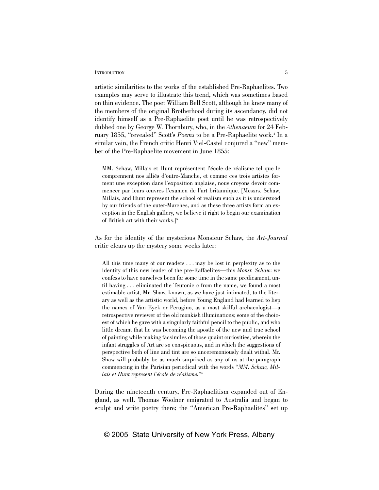#### INTRODUCTION 5

artistic similarities to the works of the established Pre-Raphaelites. Two examples may serve to illustrate this trend, which was sometimes based on thin evidence. The poet William Bell Scott, although he knew many of the members of the original Brotherhood during its ascendancy, did not identify himself as a Pre-Raphaelite poet until he was retrospectively dubbed one by George W. Thornbury, who, in the *Athenaeum* for 24 February 1855, "revealed" Scott's *Poems* to be a Pre-Raphaelite work.4 In a similar vein, the French critic Henri Viel-Castel conjured a "new" member of the Pre-Raphaelite movement in June 1855:

MM. Schaw, Millais et Hunt représentent l'école de réalisme tel que le comprennent nos alliés d'outre-Manche, et comme ces trois artistes forment une exception dans l'exposition anglaise, nous croyons devoir commencer par leurs œuvres l'examen de l'art britannique. [Messrs. Schaw, Millais, and Hunt represent the school of realism such as it is understood by our friends of the outer-Marches, and as these three artists form an exception in the English gallery, we believe it right to begin our examination of British art with their works.]5

As for the identity of the mysterious Monsieur Schaw, the *Art-Journal* critic clears up the mystery some weeks later:

All this time many of our readers... may be lost in perplexity as to the identity of this new leader of the pre-Raffaelites—this *Monsr. Schaw*: we confess to have ourselves been for some time in the same predicament, until having... eliminated the Teutonic c from the name, we found a most estimable artist, Mr. Shaw, known, as we have just intimated, to the literary as well as the artistic world, before Young England had learned to lisp the names of Van Eyck or Perugino, as a most skilful archaeologist—a retrospective reviewer of the old monkish illuminations; some of the choicest of which he gave with a singularly faithful pencil to the public, and who little dreamt that he was becoming the apostle of the new and true school of painting while making facsimiles of those quaint curiosities, wherein the infant struggles of Art are so conspicuous, and in which the suggestions of perspective both of line and tint are so unceremoniously dealt withal. Mr. Shaw will probably be as much surprised as any of us at the paragraph commencing in the Parisian periodical with the words "*MM. Schaw, Millais et Hunt represent l'école de réalisme.*"6

During the nineteenth century, Pre-Raphaelitism expanded out of England, as well. Thomas Woolner emigrated to Australia and began to sculpt and write poetry there; the "American Pre-Raphaelites" set up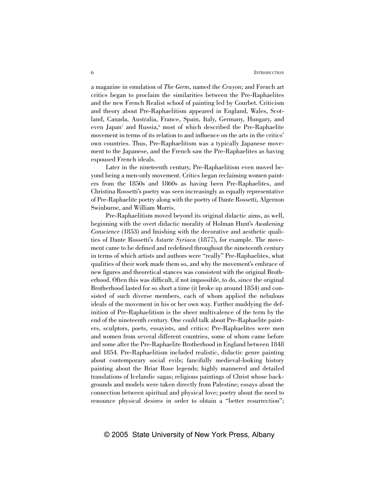a magazine in emulation of *The Germ*, named the *Crayon*; and French art critics began to proclaim the similarities between the Pre-Raphaelites and the new French Realist school of painting led by Courbet. Criticism and theory about Pre-Raphaelitism appeared in England, Wales, Scotland, Canada, Australia, France, Spain, Italy, Germany, Hungary, and even Japan<sup>7</sup> and Russia,<sup>8</sup> most of which described the Pre-Raphaelite movement in terms of its relation to and influence on the arts in the critics' own countries. Thus, Pre-Raphaelitism was a typically Japanese movement to the Japanese, and the French saw the Pre-Raphaelites as having espoused French ideals.

Later in the nineteenth century, Pre-Raphaelitism even moved beyond being a men-only movement. Critics began reclaiming women painters from the 1850s and 1860s as having been Pre-Raphaelites, and Christina Rossetti's poetry was seen increasingly as equally representative of Pre-Raphaelite poetry along with the poetry of Dante Rossetti, Algernon Swinburne, and William Morris.

Pre-Raphaelitism moved beyond its original didactic aims, as well, beginning with the overt didactic morality of Holman Hunt's *Awakening Conscience* (1853) and finishing with the decorative and aesthetic qualities of Dante Rossetti's *Astarte Syriaca* (1877), for example. The movement came to be defined and redefined throughout the nineteenth century in terms of which artists and authors were "really" Pre-Raphaelites, what qualities of their work made them so, and why the movement's embrace of new figures and theoretical stances was consistent with the original Brotherhood. Often this was difficult, if not impossible, to do, since the original Brotherhood lasted for so short a time (it broke up around 1854) and consisted of such diverse members, each of whom applied the nebulous ideals of the movement in his or her own way. Further muddying the definition of Pre-Raphaelitism is the sheer multivalence of the term by the end of the nineteenth century. One could talk about Pre-Raphaelite painters, sculptors, poets, essayists, and critics: Pre-Raphaelites were men and women from several different countries, some of whom came before and some after the Pre-Raphaelite Brotherhood in England between 1848 and 1854. Pre-Raphaelitism included realistic, didactic genre painting about contemporary social evils; fancifully medieval-looking history painting about the Briar Rose legends; highly mannered and detailed translations of Icelandic sagas; religious paintings of Christ whose backgrounds and models were taken directly from Palestine; essays about the connection between spiritual and physical love; poetry about the need to renounce physical desires in order to obtain a "better resurrection";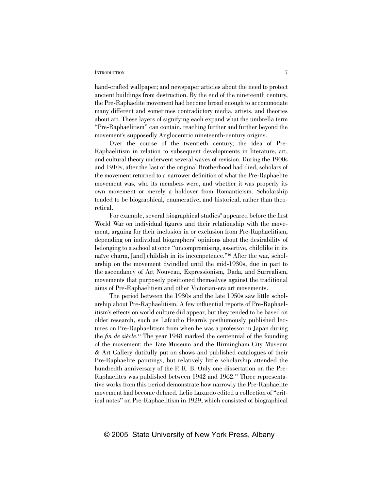## **INTRODUCTION** 7

hand-crafted wallpaper; and newspaper articles about the need to protect ancient buildings from destruction. By the end of the nineteenth century, the Pre-Raphaelite movement had become broad enough to accommodate many different and sometimes contradictory media, artists, and theories about art. These layers of signifying each expand what the umbrella term "Pre-Raphaelitism" can contain, reaching further and further beyond the movement's supposedly Anglocentric nineteenth-century origins.

Over the course of the twentieth century, the idea of Pre-Raphaelitism in relation to subsequent developments in literature, art, and cultural theory underwent several waves of revision. During the 1900s and 1910s, after the last of the original Brotherhood had died, scholars of the movement returned to a narrower definition of what the Pre-Raphaelite movement was, who its members were, and whether it was properly its own movement or merely a holdover from Romanticism. Scholarship tended to be biographical, enumerative, and historical, rather than theoretical.

For example, several biographical studies<sup>9</sup> appeared before the first World War on individual figures and their relationship with the movement, arguing for their inclusion in or exclusion from Pre-Raphaelitism, depending on individual biographers' opinions about the desirability of belonging to a school at once "uncompromising, assertive, childlike in its naïve charm, [and] childish in its incompetence."10 After the war, scholarship on the movement dwindled until the mid-1930s, due in part to the ascendancy of Art Nouveau, Expressionism, Dada, and Surrealism, movements that purposely positioned themselves against the traditional aims of Pre-Raphaelitism and other Victorian-era art movements.

The period between the 1930s and the late 1950s saw little scholarship about Pre-Raphaelitism. A few influential reports of Pre-Raphaelitism's effects on world culture did appear, but they tended to be based on older research, such as Lafcadio Hearn's posthumously published lectures on Pre-Raphaelitism from when he was a professor in Japan during the *fin de siècle*.<sup>11</sup> The year 1948 marked the centennial of the founding of the movement: the Tate Museum and the Birmingham City Museum & Art Gallery dutifully put on shows and published catalogues of their Pre-Raphaelite paintings, but relatively little scholarship attended the hundredth anniversary of the P. R. B. Only one dissertation on the Pre-Raphaelites was published between 1942 and 1962.<sup>12</sup> Three representative works from this period demonstrate how narrowly the Pre-Raphaelite movement had become defined. Lelio Luxardo edited a collection of "critical notes" on Pre-Raphaelitism in 1929, which consisted of biographical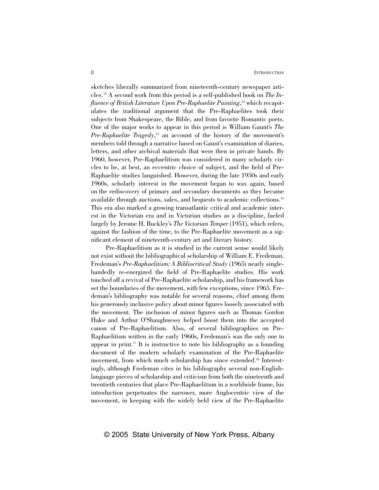sketches liberally summarized from nineteenth-century newspaper articles.13 A second work from this period is a self-published book on *The Influence of British Literature Upon Pre-Raphaelite Painting*, <sup>14</sup> which recapitulates the traditional argument that the Pre-Raphaelites took their subjects from Shakespeare, the Bible, and from favorite Romantic poets. One of the major works to appear in this period is William Gaunt's *The Pre-Raphaelite Tragedy*, <sup>15</sup> an account of the history of the movement's members told through a narrative based on Gaunt's examination of diaries, letters, and other archival materials that were then in private hands. By 1960, however, Pre-Raphaelitism was considered in many scholarly circles to be, at best, an eccentric choice of subject, and the field of Pre-Raphaelite studies languished. However, during the late 1950s and early 1960s, scholarly interest in the movement began to wax again, based on the rediscovery of primary and secondary documents as they became available through auctions, sales, and bequests to academic collections.16 This era also marked a growing transatlantic critical and academic interest in the Victorian era and in Victorian studies as a discipline, fueled largely by Jerome H. Buckley's *The Victorian Temper* (1951), which refers, against the fashion of the time, to the Pre-Raphaelite movement as a significant element of nineteenth-century art and literary history.

Pre-Raphaelitism as it is studied in the current sense would likely not exist without the bibliographical scholarship of William E. Fredeman. Fredeman's *Pre-Raphaelitism: A Bibliocritical Study* (1965) nearly singlehandedly re-energized the field of Pre-Raphaelite studies. His work touched off a revival of Pre-Raphaelite scholarship, and his framework has set the boundaries of the movement, with few exceptions, since 1965. Fredeman's bibliography was notable for several reasons, chief among them his generously inclusive policy about minor figures loosely associated with the movement. The inclusion of minor figures such as Thomas Gordon Hake and Arthur O'Shaughnessy helped boost them into the accepted canon of Pre-Raphaelitism. Also, of several bibliographies on Pre-Raphaelitism written in the early 1960s, Fredeman's was the only one to appear in print.<sup>17</sup> It is instructive to note his bibliography as a founding document of the modern scholarly examination of the Pre-Raphaelite movement, from which much scholarship has since extended.<sup>18</sup> Interestingly, although Fredeman cites in his bibliography several non-Englishlanguage pieces of scholarship and criticism from both the nineteenth and twentieth centuries that place Pre-Raphaelitism in a worldwide frame, his introduction perpetuates the narrower, more Anglocentric view of the movement, in keeping with the widely held view of the Pre-Raphaelite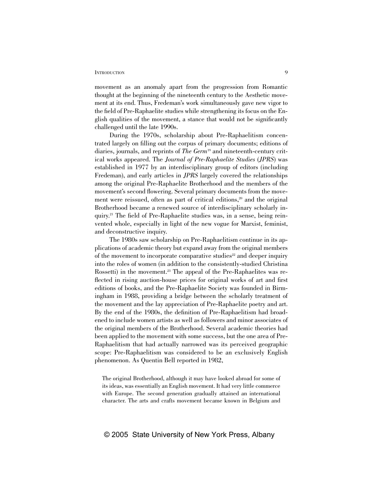movement as an anomaly apart from the progression from Romantic thought at the beginning of the nineteenth century to the Aesthetic movement at its end. Thus, Fredeman's work simultaneously gave new vigor to the field of Pre-Raphaelite studies while strengthening its focus on the English qualities of the movement, a stance that would not be significantly challenged until the late 1990s.

During the 1970s, scholarship about Pre-Raphaelitism concentrated largely on filling out the corpus of primary documents; editions of diaries, journals, and reprints of *The Germ*<sup>19</sup> and nineteenth-century critical works appeared. The *Journal of Pre-Raphaelite Studies* (*JPRS*) was established in 1977 by an interdisciplinary group of editors (including Fredeman), and early articles in *JPRS* largely covered the relationships among the original Pre-Raphaelite Brotherhood and the members of the movement's second flowering. Several primary documents from the movement were reissued, often as part of critical editions, $2^{\circ}$  and the original Brotherhood became a renewed source of interdisciplinary scholarly inquiry.21 The field of Pre-Raphaelite studies was, in a sense, being reinvented whole, especially in light of the new vogue for Marxist, feminist, and deconstructive inquiry.

The 1980s saw scholarship on Pre-Raphaelitism continue in its applications of academic theory but expand away from the original members of the movement to incorporate comparative studies $2<sup>22</sup>$  and deeper inquiry into the roles of women (in addition to the consistently-studied Christina Rossetti) in the movement.<sup>23</sup> The appeal of the Pre-Raphaelites was reflected in rising auction-house prices for original works of art and first editions of books, and the Pre-Raphaelite Society was founded in Birmingham in 1988, providing a bridge between the scholarly treatment of the movement and the lay appreciation of Pre-Raphaelite poetry and art. By the end of the 1980s, the definition of Pre-Raphaelitism had broadened to include women artists as well as followers and minor associates of the original members of the Brotherhood. Several academic theories had been applied to the movement with some success, but the one area of Pre-Raphaelitism that had actually narrowed was its perceived geographic scope: Pre-Raphaelitism was considered to be an exclusively English phenomenon. As Quentin Bell reported in 1982,

The original Brotherhood, although it may have looked abroad for some of its ideas, was essentially an English movement. It had very little commerce with Europe. The second generation gradually attained an international character. The arts and crafts movement became known in Belgium and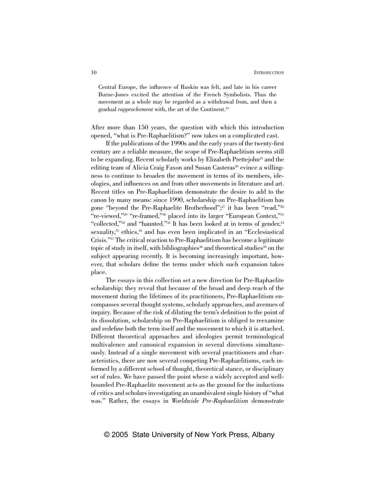Central Europe, the influence of Ruskin was felt, and late in his career Burne-Jones excited the attention of the French Symbolists. Thus the movement as a whole may be regarded as a withdrawal from, and then a gradual *rapprochement* with, the art of the Continent.24

After more than 150 years, the question with which this introduction opened, "what is Pre-Raphaelitism?" now takes on a complicated cast.

If the publications of the 1990s and the early years of the twenty-first century are a reliable measure, the scope of Pre-Raphaelitism seems still to be expanding. Recent scholarly works by Elizabeth Prettejohn<sup>25</sup> and the editing team of Alicia Craig Faxon and Susan Casteras<sup>26</sup> evince a willingness to continue to broaden the movement in terms of its members, ideologies, and influences on and from other movements in literature and art. Recent titles on Pre-Raphaelitism demonstrate the desire to add to the canon by many means: since 1990, scholarship on Pre-Raphaelitism has gone "beyond the Pre-Raphaelite Brotherhood";<sup>27</sup> it has been "read,"<sup>28</sup> "re-viewed,"29 "re-framed,"30 placed into its larger "European Context,"31 "collected,"<sup>32</sup> and "haunted."<sup>33</sup> It has been looked at in terms of gender,<sup>34</sup> sexuality,<sup>35</sup> ethics,<sup>36</sup> and has even been implicated in an "Ecclesiastical Crisis."37 The critical reaction to Pre-Raphaelitism has become a legitimate topic of study in itself, with bibliographies<sup>38</sup> and theoretical studies<sup>39</sup> on the subject appearing recently. It is becoming increasingly important, however, that scholars define the terms under which such expansion takes place.

The essays in this collection set a new direction for Pre-Raphaelite scholarship: they reveal that because of the broad and deep reach of the movement during the lifetimes of its practitioners, Pre-Raphaelitism encompasses several thought systems, scholarly approaches, and avenues of inquiry. Because of the risk of diluting the term's definition to the point of its dissolution, scholarship on Pre-Raphaelitism is obliged to reexamine and redefine both the term itself and the movement to which it is attached. Different theoretical approaches and ideologies permit terminological multivalence and canonical expansion in several directions simultaneously. Instead of a single movement with several practitioners and characteristics, there are now several competing Pre-Raphaelitisms, each informed by a different school of thought, theoretical stance, or disciplinary set of rules. We have passed the point where a widely accepted and wellbounded Pre-Raphaelite movement acts as the ground for the inductions of critics and scholars investigating an unambivalent single history of "what was." Rather, the essays in *Worldwide Pre-Raphaelitism* demonstrate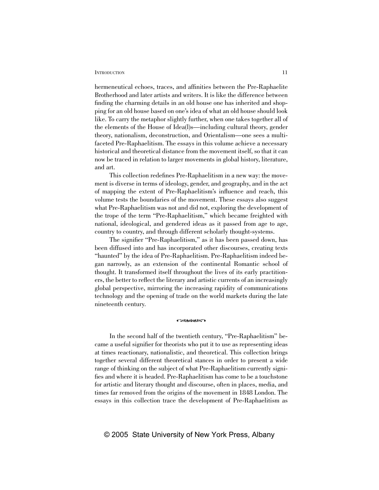#### INTRODUCTION 11

hermeneutical echoes, traces, and affinities between the Pre-Raphaelite Brotherhood and later artists and writers. It is like the difference between finding the charming details in an old house one has inherited and shopping for an old house based on one's idea of what an old house should look like. To carry the metaphor slightly further, when one takes together all of the elements of the House of Idea(l)s—including cultural theory, gender theory, nationalism, deconstruction, and Orientalism—one sees a multifaceted Pre-Raphaelitism. The essays in this volume achieve a necessary historical and theoretical distance from the movement itself, so that it can now be traced in relation to larger movements in global history, literature, and art.

This collection redefines Pre-Raphaelitism in a new way: the movement is diverse in terms of ideology, gender, and geography, and in the act of mapping the extent of Pre-Raphaelitism's influence and reach, this volume tests the boundaries of the movement. These essays also suggest what Pre-Raphaelitism was not and did not, exploring the development of the trope of the term "Pre-Raphaelitism," which became freighted with national, ideological, and gendered ideas as it passed from age to age, country to country, and through different scholarly thought-systems.

The signifier "Pre-Raphaelitism," as it has been passed down, has been diffused into and has incorporated other discourses, creating texts "haunted" by the idea of Pre-Raphaelitism. Pre-Raphaelitism indeed began narrowly, as an extension of the continental Romantic school of thought. It transformed itself throughout the lives of its early practitioners, the better to reflect the literary and artistic currents of an increasingly global perspective, mirroring the increasing rapidity of communications technology and the opening of trade on the world markets during the late nineteenth century.

#### CONVERTED

In the second half of the twentieth century, "Pre-Raphaelitism" became a useful signifier for theorists who put it to use as representing ideas at times reactionary, nationalistic, and theoretical. This collection brings together several different theoretical stances in order to present a wide range of thinking on the subject of what Pre-Raphaelitism currently signifies and where it is headed. Pre-Raphaelitism has come to be a touchstone for artistic and literary thought and discourse, often in places, media, and times far removed from the origins of the movement in 1848 London. The essays in this collection trace the development of Pre-Raphaelitism as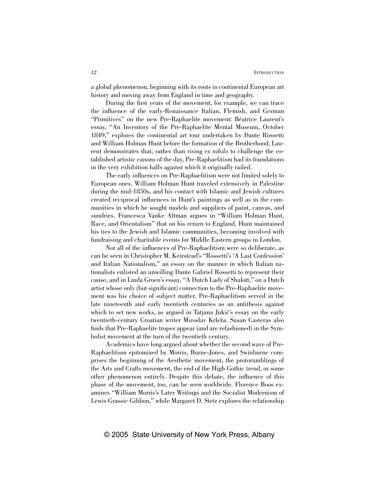a global phenomenon, beginning with its roots in continental European art history and moving away from England in time and geography.

During the first years of the movement, for example, we can trace the influence of the early-Renaissance Italian, Flemish, and German "Primitives" on the new Pre-Raphaelite movement: Béatrice Laurent's essay, "An Inventory of the Pre-Raphaelite Mental Museum, October 1849," explores the continental art tour undertaken by Dante Rossetti and William Holman Hunt before the formation of the Brotherhood; Laurent demonstrates that, rather than rising *ex nihilo* to challenge the established artistic canons of the day, Pre-Raphaelitism had its foundations in the very exhibition halls against which it originally railed.

The early influences on Pre-Raphaelitism were not limited solely to European ones. William Holman Hunt traveled extensively in Palestine during the mid-1850s, and his contact with Islamic and Jewish cultures created reciprocal influences in Hunt's paintings as well as in the communities in which he sought models and suppliers of paint, canvas, and sundries. Francesca Vanke Altman argues in "William Holman Hunt, Race, and Orientalism" that on his return to England, Hunt maintained his ties to the Jewish and Islamic communities, becoming involved with fundraising and charitable events for Middle Eastern groups in London.

Not all of the influences of Pre-Raphaelitism were so deliberate, as can be seen in Christopher M. Keirstead's "Rossetti's 'A Last Confession' and Italian Nationalism," an essay on the manner in which Italian nationalists enlisted an unwilling Dante Gabriel Rossetti to represent their cause, and in Linda Groen's essay, "A Dutch Lady of Shalott," on a Dutch artist whose only (but significant) connection to the Pre-Raphaelite movement was his choice of subject matter. Pre-Raphaelitism served in the late nineteenth and early twentieth centuries as an antithesis against which to set new works, as argued in Tatjana Jukić's essay on the early twentieth-century Croatian writer Miroslav Krleža. Susan Casteras also finds that Pre-Raphaelite tropes appear (and are refashioned) in the Symbolist movement at the turn of the twentieth century.

Academics have long argued about whether the second wave of Pre-Raphaelitism epitomized by Morris, Burne-Jones, and Swinburne comprises the beginning of the Aesthetic movement, the protorumblings of the Arts and Crafts movement, the end of the High Gothic trend, or some other phenomenon entirely. Despite this debate, the influence of this phase of the movement, too, can be seen worldwide. Florence Boos examines "William Morris's Later Writings and the Socialist Modernism of Lewis Grassic Gibbon," while Margaret D. Stetz explores the relationship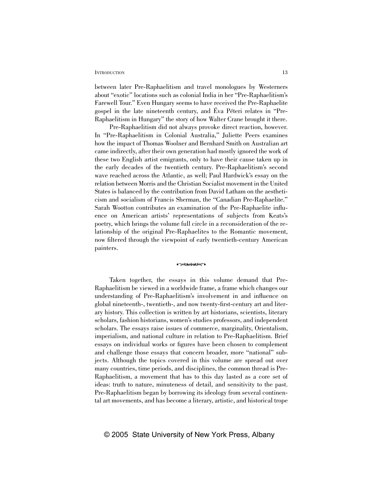between later Pre-Raphaelitism and travel monologues by Westerners about "exotic" locations such as colonial India in her "Pre-Raphaelitism's Farewell Tour." Even Hungary seems to have received the Pre-Raphaelite gospel in the late nineteenth century, and Éva Péteri relates in "Pre-Raphaelitism in Hungary" the story of how Walter Crane brought it there.

Pre-Raphaelitism did not always provoke direct reaction, however. In "Pre-Raphaelitism in Colonial Australia," Juliette Peers examines how the impact of Thomas Woolner and Bernhard Smith on Australian art came indirectly, after their own generation had mostly ignored the work of these two English artist emigrants, only to have their cause taken up in the early decades of the twentieth century. Pre-Raphaelitism's second wave reached across the Atlantic, as well; Paul Hardwick's essay on the relation between Morris and the Christian Socialist movement in the United States is balanced by the contribution from David Latham on the aestheticism and socialism of Francis Sherman, the "Canadian Pre-Raphaelite." Sarah Wootton contributes an examination of the Pre-Raphaelite influence on American artists' representations of subjects from Keats's poetry, which brings the volume full circle in a reconsideration of the relationship of the original Pre-Raphaelites to the Romantic movement, now filtered through the viewpoint of early twentieth-century American painters.

### **CALL ALLES**

Taken together, the essays in this volume demand that Pre-Raphaelitism be viewed in a worldwide frame, a frame which changes our understanding of Pre-Raphaelitism's involvement in and influence on global nineteenth-, twentieth-, and now twenty-first-century art and literary history. This collection is written by art historians, scientists, literary scholars, fashion historians, women's studies professors, and independent scholars. The essays raise issues of commerce, marginality, Orientalism, imperialism, and national culture in relation to Pre-Raphaelitism. Brief essays on individual works or figures have been chosen to complement and challenge those essays that concern broader, more "national" subjects. Although the topics covered in this volume are spread out over many countries, time periods, and disciplines, the common thread is Pre-Raphaelitism, a movement that has to this day lasted as a core set of ideas: truth to nature, minuteness of detail, and sensitivity to the past. Pre-Raphaelitism began by borrowing its ideology from several continental art movements, and has become a literary, artistic, and historical trope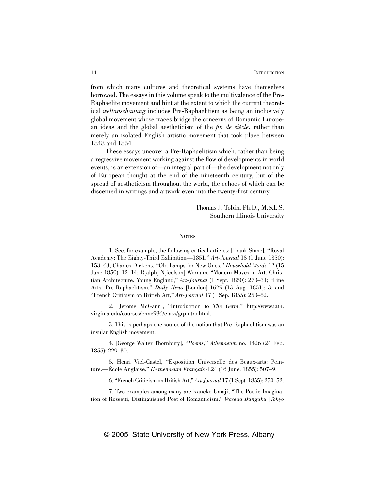from which many cultures and theoretical systems have themselves borrowed. The essays in this volume speak to the multivalence of the Pre-Raphaelite movement and hint at the extent to which the current theoretical *weltanschauung* includes Pre-Raphaelitism as being an inclusively global movement whose traces bridge the concerns of Romantic European ideas and the global aestheticism of the *fin de siècle*, rather than merely an isolated English artistic movement that took place between 1848 and 1854.

These essays uncover a Pre-Raphaelitism which, rather than being a regressive movement working against the flow of developments in world events, is an extension of—an integral part of—the development not only of European thought at the end of the nineteenth century, but of the spread of aestheticism throughout the world, the echoes of which can be discerned in writings and artwork even into the twenty-first century.

> Thomas J. Tobin, Ph.D., M.S.L.S. Southern Illinois University

## **NOTES**

1. See, for example, the following critical articles: [Frank Stone], "Royal Academy: The Eighty-Third Exhibition—1851," *Art-Journal* 13 (1 June 1850): 153–63; Charles Dickens, "Old Lamps for New Ones," *Household Words* 12 (15 June 1850): 12–14; R[alph] N[icolson] Wornum, "Modern Moves in Art. Christian Architecture. Young England," *Art-Journal* (1 Sept. 1850): 270–71; "Fine Arts: Pre-Raphaelitism," *Daily News* [London] 1629 (13 Aug. 1851): 3; and "French Criticism on British Art," *Art-Journal* 17 (1 Sep. 1855): 250–52.

2. [Jerome McGann], "Introduction to *The Germ*." http://www.iath. virginia.edu/courses/ennc986/class/grpintro.html.

3. This is perhaps one source of the notion that Pre-Raphaelitism was an insular English movement.

4. [George Walter Thornbury], "*Poems*," *Athenaeum* no. 1426 (24 Feb. 1855): 229–30.

5. Henri Viel-Castel, "Exposition Universelle des Beaux-arts: Peinture.—École Anglaise," *L'Athenaeum Fran*ç*ais* 4.24 (16 June. 1855): 507–9.

6. "French Criticism on British Art," *Art Journal* 17 (1 Sept. 1855): 250–52.

7. Two examples among many are Kaneko Umaji, "The Poetic Imagination of Rossetti, Distinguished Poet of Romanticism," *Waseda Bungaku* [*Tokyo*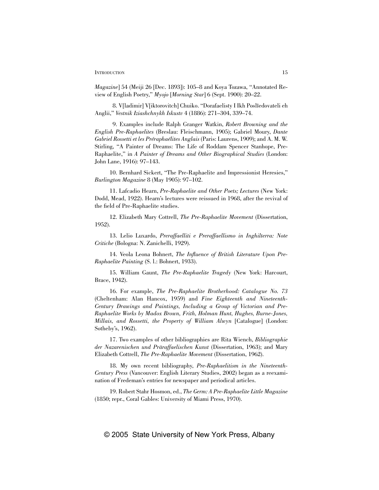*Magazine*] 54 (Meiji 26 [Dec. 1893]): 105–8 and Koya Tozawa, "Annotated Review of English Poetry," *Myojo* [*Morning Star*] 6 (Sept. 1900): 20–22.

8. V[ladimir] V[iktorovitch] Chuiko. "Dorafaelisty I Ikh Poslîedovateli eh Anglii," *Vestnik Iziashchnykh Iskustv* 4 (1886): 271–304, 339–74.

9. Examples include Ralph Granger Watkin, *Robert Browning and the English Pre-Raphaelites* (Breslau: Fleischmann, 1905); Gabriel Moury, *Dante Gabriel Rossetti et les Préraphaélites Anglais* (Paris: Laurens, 1909); and A. M. W. Stirling, "A Painter of Dreams: The Life of Roddam Spencer Stanhope, Pre-Raphaelite," in *A Painter of Dreams and Other Biographical Studies* (London: John Lane, 1916): 97–143.

10. Bernhard Sickert, "The Pre-Raphaelite and Impressionist Heresies," *Burlington Magazine* 8 (May 1905): 97–102.

11. Lafcadio Hearn, *Pre-Raphaelite and Other Poets; Lectures* (New York: Dodd, Mead, 1922). Hearn's lectures were reissued in 1968, after the revival of the field of Pre-Raphaelite studies.

12. Elizabeth Mary Cottrell, *The Pre-Raphaelite Movement* (Dissertation, 1952).

13. Lelio Luxardo, *Preraffaelliti e Preraffaellismo in Inghilterra: Note Critiche* (Bologna: N. Zanichelli, 1929).

14. Veola Leona Bohnert, *The Influence of British Literature Upon Pre-Raphaelite Painting* (S. l.: Bohnert, 1933).

15. William Gaunt, *The Pre-Raphaelite Tragedy* (New York: Harcourt, Brace, 1942).

16. For example, *The Pre-Raphaelite Brotherhood: Catalogue No. 73* (Cheltenham: Alan Hancox, 1959) and *Fine Eighteenth and Nineteenth-Century Drawings and Paintings, Including a Group of Victorian and Pre-Raphaelite Works by Madox Brown, Frith, Holman Hunt, Hughes, Burne-Jones, Millais, and Rossetti, the Property of William Alwyn* [Catalogue] (London: Sotheby's, 1962).

17. Two examples of other bibliographies are Rita Wiench, *Bibliographie der Nazarenischen und Präraffaelischen Kunst* (Dissertation, 1963); and Mary Elizabeth Cottrell, *The Pre-Raphaelite Movement* (Dissertation, 1962).

18. My own recent bibliography, *Pre-Raphaelitism in the Nineteenth-Century Press* (Vancouver: English Literary Studies, 2002) began as a reexamination of Fredeman's entries for newspaper and periodical articles.

19. Robert Stahr Hosmon, ed., *The Germ: A Pre-Raphaelite Little Magazine* (1850; repr., Coral Gables: University of Miami Press, 1970).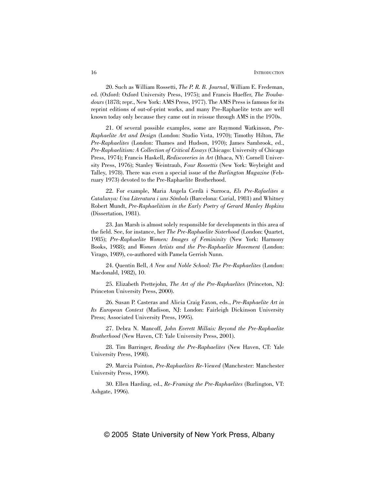20. Such as William Rossetti, *The P. R. B. Journal*, William E. Fredeman, ed. (Oxford: Oxford University Press, 1975); and Francis Hueffer, *The Troubadours* (1878; repr., New York: AMS Press, 1977). The AMS Press is famous for its reprint editions of out-of-print works, and many Pre-Raphaelite texts are well known today only because they came out in reissue through AMS in the 1970s.

21. Of several possible examples, some are Raymond Watkinson, *Pre-Raphaelite Art and Design* (London: Studio Vista, 1970); Timothy Hilton, *The Pre-Raphaelites* (London: Thames and Hudson, 1970); James Sambrook, ed., *Pre-Raphaelitism: A Collection of Critical Essays* (Chicago: University of Chicago Press, 1974); Francis Haskell, *Rediscoveries in Art* (Ithaca, NY: Cornell University Press, 1976); Stanley Weintraub, *Four Rossettis* (New York: Weybright and Talley, 1978). There was even a special issue of the *Burlington Magazine* (February 1973) devoted to the Pre-Raphaelite Brotherhood.

22. For example, Maria Angela Cerdà i Surroca, *Els Pre-Rafaelites a Catalunya: Una Literatura i uns Símbols* (Barcelona: Curial, 1981) and Whitney Robert Mundt, *Pre-Raphaelitism in the Early Poetry of Gerard Manley Hopkins* (Dissertation, 1981).

23. Jan Marsh is almost solely responsible for developments in this area of the field. See, for instance, her *The Pre-Raphaelite Sisterhood* (London: Quartet, 1985); *Pre-Raphaelite Women: Images of Femininity* (New York: Harmony Books, 1988); and *Women Artists and the Pre-Raphaelite Movement* (London: Virago, 1989), co-authored with Pamela Gerrish Nunn.

24. Quentin Bell, *A New and Noble School: The Pre-Raphaelites* (London: Macdonald, 1982), 10.

25. Elizabeth Prettejohn, *The Art of the Pre-Raphaelites* (Princeton, NJ: Princeton University Press, 2000).

26. Susan P. Casteras and Alicia Craig Faxon, eds., *Pre-Raphaelite Art in Its European Context* (Madison, NJ: London: Fairleigh Dickinson University Press; Associated University Press, 1995).

27. Debra N. Mancoff, *John Everett Millais: Beyond the Pre-Raphaelite Brotherhood* (New Haven, CT: Yale University Press, 2001).

28. Tim Barringer, *Reading the Pre-Raphaelites* (New Haven, CT: Yale University Press, 1998).

29. Marcia Pointon, *Pre-Raphaelites Re-Viewed* (Manchester: Manchester University Press, 1990).

30. Ellen Harding, ed., *Re-Framing the Pre-Raphaelites* (Burlington, VT: Ashgate, 1996).